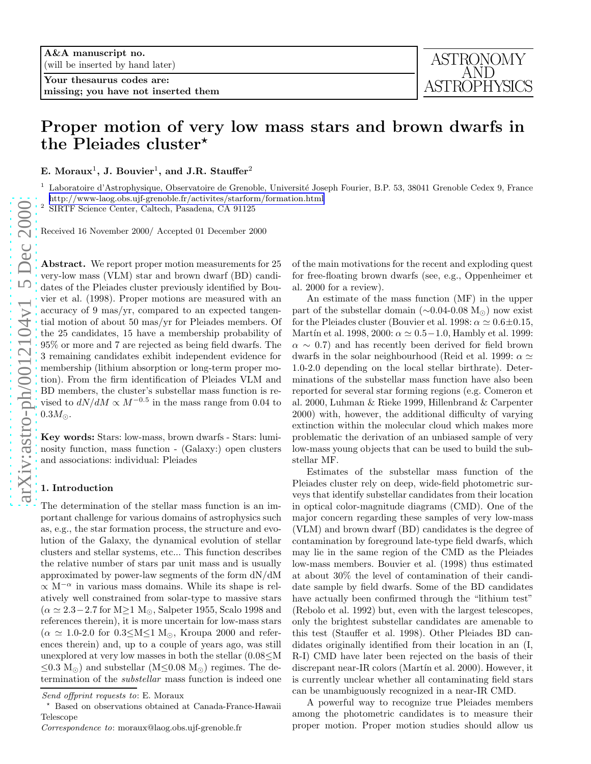Your thesaurus codes are: missing; you have not inserted them

# Proper motion of very low mass stars and brown dwarfs in the Pleiades cluster\*

E. Moraux<sup>1</sup>, J. Bouvier<sup>1</sup>, and J.R. Stauffer<sup>2</sup>

<sup>1</sup> Laboratoire d'Astrophysique, Observatoire de Grenoble, Université Joseph Fourier, B.P. 53, 38041 Grenoble Cedex 9, France <http://www-laog.obs.ujf-grenoble.fr/activites/starform/formation.html>

2 SIRTF Science Center, Caltech, Pasadena, CA 91125

Received 16 November 2000/ Accepted 01 December 2000

Abstract. We report proper motion measurements for 25 very-low mass (VLM) star and brown dwarf (BD) candidates of the Pleiades cluster previously identified by Bouvier et al. (1998). Proper motions are measured with an accuracy of 9 mas/yr, compared to an expected tangential motion of about 50 mas/yr for Pleiades members. Of the 25 candidates, 15 have a membership probability of 95% or more and 7 are rejected as being field dwarfs. The 3 remaining candidates exhibit independent evidence for membership (lithium absorption or long-term proper motion). From the firm identification of Pleiades VLM and BD members, the cluster's substellar mass function is revised to  $dN/dM \propto M^{-0.5}$  in the mass range from 0.04 to  $0.3M_\odot.$ 

Key words: Stars: low-mass, brown dwarfs - Stars: luminosity function, mass function - (Galaxy:) open clusters and associations: individual: Pleiades

### 1. Introduction

The determination of the stellar mass function is an important challenge for various domains of astrophysics such as, e.g., the star formation process, the structure and evolution of the Galaxy, the dynamical evolution of stellar clusters and stellar systems, etc... This function describes the relative number of stars par unit mass and is usually approximated by power-law segments of the form dN/dM  $\propto$  M<sup>- $\alpha$ </sup> in various mass domains. While its shape is relatively well constrained from solar-type to massive stars  $(\alpha \simeq 2.3-2.7$  for M≥1 M<sub>☉</sub>, Salpeter 1955, Scalo 1998 and references therein), it is more uncertain for low-mass stars  $(\alpha \simeq 1.0{\text -}2.0 \text{ for } 0.3{\leq}M{\leq}1 \text{ M}_{\odot}$ , Kroupa 2000 and references therein) and, up to a couple of years ago, was still unexplored at very low masses in both the stellar  $(0.08 \leq M)$  $\leq$ 0.3 M<sub>o</sub>) and substellar (M $\leq$ 0.08 M<sub>o</sub>) regimes. The determination of the substellar mass function is indeed one of the main motivations for the recent and exploding quest for free-floating brown dwarfs (see, e.g., Oppenheimer et al. 2000 for a review).

An estimate of the mass function (MF) in the upper part of the substellar domain  $(\sim 0.04 - 0.08 \text{ M}_{\odot})$  now exist for the Pleiades cluster (Bouvier et al. 1998:  $\alpha \simeq 0.6 \pm 0.15$ , Martín et al. 1998, 2000:  $\alpha \simeq 0.5 - 1.0$ , Hambly et al. 1999:  $\alpha \sim 0.7$ ) and has recently been derived for field brown dwarfs in the solar neighbourhood (Reid et al. 1999:  $\alpha \simeq$ 1.0-2.0 depending on the local stellar birthrate). Determinations of the substellar mass function have also been reported for several star forming regions (e.g. Comeron et al. 2000, Luhman & Rieke 1999, Hillenbrand & Carpenter 2000) with, however, the additional difficulty of varying extinction within the molecular cloud which makes more problematic the derivation of an unbiased sample of very low-mass young objects that can be used to build the substellar MF.

Estimates of the substellar mass function of the Pleiades cluster rely on deep, wide-field photometric surveys that identify substellar candidates from their location in optical color-magnitude diagrams (CMD). One of the major concern regarding these samples of very low-mass (VLM) and brown dwarf (BD) candidates is the degree of contamination by foreground late-type field dwarfs, which may lie in the same region of the CMD as the Pleiades low-mass members. Bouvier et al. (1998) thus estimated at about 30% the level of contamination of their candidate sample by field dwarfs. Some of the BD candidates have actually been confirmed through the "lithium test" (Rebolo et al. 1992) but, even with the largest telescopes, only the brightest substellar candidates are amenable to this test (Stauffer et al. 1998). Other Pleiades BD candidates originally identified from their location in an (I, R-I) CMD have later been rejected on the basis of their discrepant near-IR colors (Martín et al. 2000). However, it is currently unclear whether all contaminating field stars can be unambiguously recognized in a near-IR CMD.

A powerful way to recognize true Pleiades members among the photometric candidates is to measure their proper motion. Proper motion studies should allow us

Send offprint requests to: E. Moraux

<sup>⋆</sup> Based on observations obtained at Canada-France-Hawaii Telescope

Correspondence to: moraux@laog.obs.ujf-grenoble.fr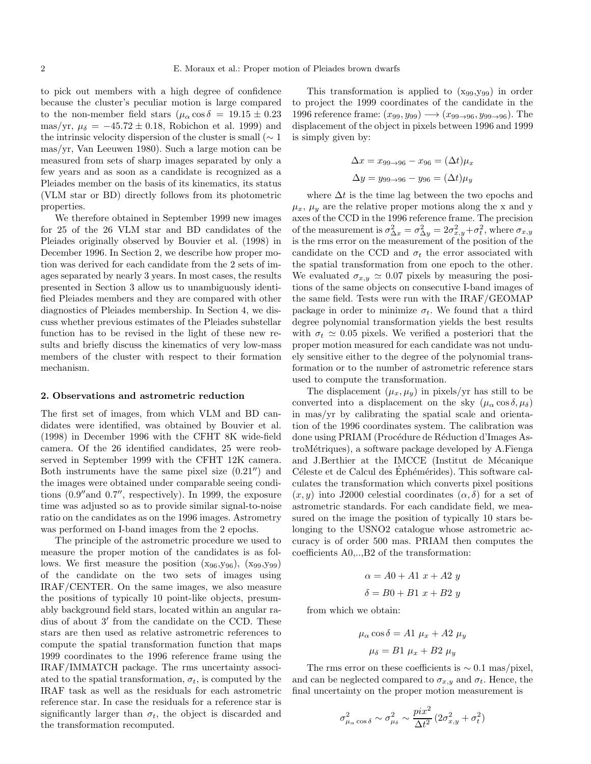to pick out members with a high degree of confidence because the cluster's peculiar motion is large compared to the non-member field stars  $(\mu_{\alpha} \cos \delta = 19.15 \pm 0.23)$ mas/yr,  $\mu_{\delta} = -45.72 \pm 0.18$ , Robichon et al. 1999) and the intrinsic velocity dispersion of the cluster is small ( $\sim 1$ mas/yr, Van Leeuwen 1980). Such a large motion can be measured from sets of sharp images separated by only a few years and as soon as a candidate is recognized as a Pleiades member on the basis of its kinematics, its status (VLM star or BD) directly follows from its photometric properties.

We therefore obtained in September 1999 new images for 25 of the 26 VLM star and BD candidates of the Pleiades originally observed by Bouvier et al. (1998) in December 1996. In Section 2, we describe how proper motion was derived for each candidate from the 2 sets of images separated by nearly 3 years. In most cases, the results presented in Section 3 allow us to unambiguously identified Pleiades members and they are compared with other diagnostics of Pleiades membership. In Section 4, we discuss whether previous estimates of the Pleiades substellar function has to be revised in the light of these new results and briefly discuss the kinematics of very low-mass members of the cluster with respect to their formation mechanism.

#### 2. Observations and astrometric reduction

The first set of images, from which VLM and BD candidates were identified, was obtained by Bouvier et al. (1998) in December 1996 with the CFHT 8K wide-field camera. Of the 26 identified candidates, 25 were reobserved in September 1999 with the CFHT 12K camera. Both instruments have the same pixel size  $(0.21'')$  and the images were obtained under comparable seeing conditions (0.9′′and 0.7′′, respectively). In 1999, the exposure time was adjusted so as to provide similar signal-to-noise ratio on the candidates as on the 1996 images. Astrometry was performed on I-band images from the 2 epochs.

The principle of the astrometric procedure we used to measure the proper motion of the candidates is as follows. We first measure the position  $(x_{96},y_{96})$ ,  $(x_{99},y_{99})$ of the candidate on the two sets of images using IRAF/CENTER. On the same images, we also measure the positions of typically 10 point-like objects, presumably background field stars, located within an angular radius of about 3′ from the candidate on the CCD. These stars are then used as relative astrometric references to compute the spatial transformation function that maps 1999 coordinates to the 1996 reference frame using the IRAF/IMMATCH package. The rms uncertainty associated to the spatial transformation,  $\sigma_t$ , is computed by the IRAF task as well as the residuals for each astrometric reference star. In case the residuals for a reference star is significantly larger than  $\sigma_t$ , the object is discarded and the transformation recomputed.

This transformation is applied to  $(x_{99},y_{99})$  in order to project the 1999 coordinates of the candidate in the 1996 reference frame:  $(x_{99}, y_{99}) \rightarrow (x_{99\rightarrow 96}, y_{99\rightarrow 96})$ . The displacement of the object in pixels between 1996 and 1999 is simply given by:

$$
\Delta x = x_{99 \to 96} - x_{96} = (\Delta t)\mu_x
$$
  

$$
\Delta y = y_{99 \to 96} - y_{96} = (\Delta t)\mu_y
$$

where  $\Delta t$  is the time lag between the two epochs and  $\mu_x$ ,  $\mu_y$  are the relative proper motions along the x and y axes of the CCD in the 1996 reference frame. The precision of the measurement is  $\sigma_{\Delta x}^2 = \sigma_{\Delta y}^2 = 2\sigma_{x,y}^2 + \sigma_t^2$ , where  $\sigma_{x,y}$ is the rms error on the measurement of the position of the candidate on the CCD and  $\sigma_t$  the error associated with the spatial transformation from one epoch to the other. We evaluated  $\sigma_{x,y} \simeq 0.07$  pixels by measuring the positions of the same objects on consecutive I-band images of the same field. Tests were run with the IRAF/GEOMAP package in order to minimize  $\sigma_t$ . We found that a third degree polynomial transformation yields the best results with  $\sigma_t \simeq 0.05$  pixels. We verified a posteriori that the proper motion measured for each candidate was not unduely sensitive either to the degree of the polynomial transformation or to the number of astrometric reference stars used to compute the transformation.

The displacement  $(\mu_x, \mu_y)$  in pixels/yr has still to be converted into a displacement on the sky  $(\mu_{\alpha} \cos \delta, \mu_{\delta})$ in mas/yr by calibrating the spatial scale and orientation of the 1996 coordinates system. The calibration was done using PRIAM (Procédure de Réduction d'Images AstroMétriques), a software package developed by A.Fienga and J.Berthier at the IMCCE (Institut de Mécanique Céleste et de Calcul des Éphémérides). This software calculates the transformation which converts pixel positions  $(x, y)$  into J2000 celestial coordinates  $(\alpha, \delta)$  for a set of astrometric standards. For each candidate field, we measured on the image the position of typically 10 stars belonging to the USNO2 catalogue whose astrometric accuracy is of order 500 mas. PRIAM then computes the coefficients A0,..,B2 of the transformation:

$$
\alpha = A0 + A1 \ x + A2 \ y
$$

$$
\delta = B0 + B1 \ x + B2 \ y
$$

from which we obtain:

$$
\mu_{\alpha}\cos\delta = A1 \mu_x + A2 \mu_y
$$

$$
\mu_{\delta} = B1 \mu_x + B2 \mu_y
$$

The rms error on these coefficients is  $\sim 0.1$  mas/pixel, and can be neglected compared to  $\sigma_{x,y}$  and  $\sigma_t$ . Hence, the final uncertainty on the proper motion measurement is

$$
\sigma^2_{\mu_{\alpha}\cos\delta} \sim \sigma^2_{\mu_{\delta}} \sim \frac{pix^2}{\Delta t^2}\left(2\sigma_{x,y}^2+\sigma_t^2\right)
$$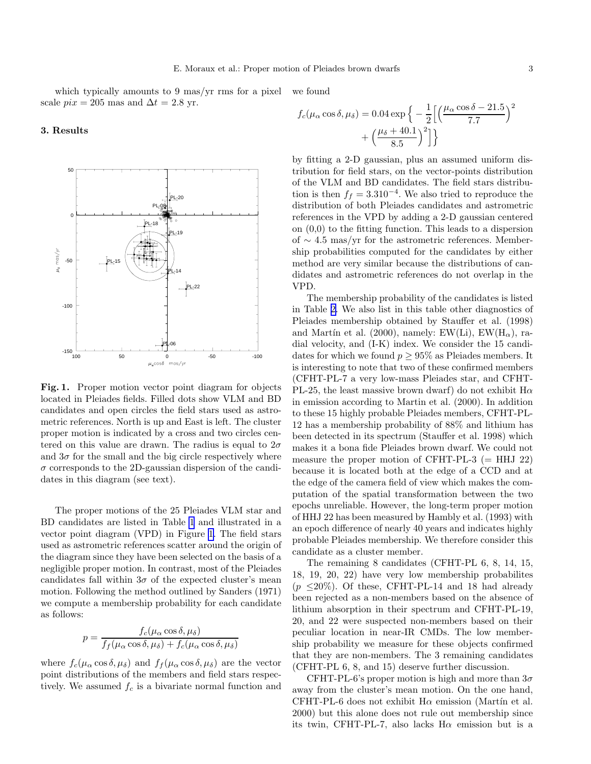<span id="page-2-0"></span>which typically amounts to 9 mas/yr rms for a pixel scale  $pix = 205$  mas and  $\Delta t = 2.8$  yr. we found

3. Results



Fig. 1. Proper motion vector point diagram for objects located in Pleiades fields. Filled dots show VLM and BD candidates and open circles the field stars used as astrometric references. North is up and East is left. The cluster proper motion is indicated by a cross and two circles centered on this value are drawn. The radius is equal to  $2\sigma$ and  $3\sigma$  for the small and the big circle respectively where  $\sigma$  corresponds to the 2D-gaussian dispersion of the candidates in this diagram (see text).

The proper motions of the 25 Pleiades VLM star and BD candidates are listed in Table [1](#page-3-0) and illustrated in a vector point diagram (VPD) in Figure 1. The field stars used as astrometric references scatter around the origin of the diagram since they have been selected on the basis of a negligible proper motion. In contrast, most of the Pleiades candidates fall within  $3\sigma$  of the expected cluster's mean motion. Following the method outlined by Sanders (1971) we compute a membership probability for each candidate as follows:

$$
p = \frac{f_c(\mu_\alpha \cos \delta, \mu_\delta)}{f_f(\mu_\alpha \cos \delta, \mu_\delta) + f_c(\mu_\alpha \cos \delta, \mu_\delta)}
$$

where  $f_c(\mu_\alpha \cos \delta, \mu_\delta)$  and  $f_f(\mu_\alpha \cos \delta, \mu_\delta)$  are the vector point distributions of the members and field stars respectively. We assumed  $f_c$  is a bivariate normal function and

$$
f_c(\mu_\alpha \cos \delta, \mu_\delta) = 0.04 \exp\left\{-\frac{1}{2} \left[ \left(\frac{\mu_\alpha \cos \delta - 21.5}{7.7} + \left(\frac{\mu_\delta + 40.1}{2.5}\right)^2 \right] \right\}\right.
$$

8.5

by fitting a 2-D gaussian, plus an assumed uniform distribution for field stars, on the vector-points distribution of the VLM and BD candidates. The field stars distribution is then  $f_f = 3.310^{-4}$ . We also tried to reproduce the distribution of both Pleiades candidates and astrometric references in the VPD by adding a 2-D gaussian centered on (0,0) to the fitting function. This leads to a dispersion of ∼ 4.5 mas/yr for the astrometric references. Membership probabilities computed for the candidates by either method are very similar because the distributions of candidates and astrometric references do not overlap in the VPD.

The membership probability of the candidates is listed in Table [2.](#page-5-0) We also list in this table other diagnostics of Pleiades membership obtained by Stauffer et al. (1998) and Martín et al. (2000), namely: EW(Li), EW( $H_{\alpha}$ ), radial velocity, and (I-K) index. We consider the 15 candidates for which we found  $p \geq 95\%$  as Pleiades members. It is interesting to note that two of these confirmed members (CFHT-PL-7 a very low-mass Pleiades star, and CFHT-PL-25, the least massive brown dwarf) do not exhibit  $H\alpha$ in emission according to Martin et al. (2000). In addition to these 15 highly probable Pleiades members, CFHT-PL-12 has a membership probability of 88% and lithium has been detected in its spectrum (Stauffer et al. 1998) which makes it a bona fide Pleiades brown dwarf. We could not measure the proper motion of CFHT-PL-3  $(= HHJ 22)$ because it is located both at the edge of a CCD and at the edge of the camera field of view which makes the computation of the spatial transformation between the two epochs unreliable. However, the long-term proper motion of HHJ 22 has been measured by Hambly et al. (1993) with an epoch difference of nearly 40 years and indicates highly probable Pleiades membership. We therefore consider this candidate as a cluster member.

The remaining 8 candidates (CFHT-PL 6, 8, 14, 15, 18, 19, 20, 22) have very low membership probabilites  $(p \leq 20\%)$ . Of these, CFHT-PL-14 and 18 had already been rejected as a non-members based on the absence of lithium absorption in their spectrum and CFHT-PL-19, 20, and 22 were suspected non-members based on their peculiar location in near-IR CMDs. The low membership probability we measure for these objects confirmed that they are non-members. The 3 remaining candidates (CFHT-PL 6, 8, and 15) deserve further discussion.

CFHT-PL-6's proper motion is high and more than  $3\sigma$ away from the cluster's mean motion. On the one hand, CFHT-PL-6 does not exhibit  $H\alpha$  emission (Martín et al. 2000) but this alone does not rule out membership since its twin, CFHT-PL-7, also lacks  $H\alpha$  emission but is a

 $\chi^2$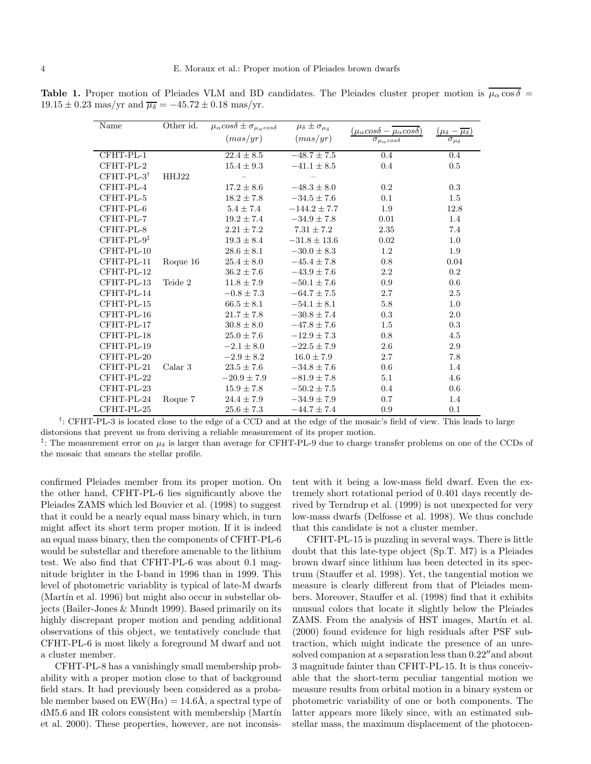<span id="page-3-0"></span>**Table 1.** Proper motion of Pleiades VLM and BD candidates. The Pleiades cluster proper motion is  $\mu_{\alpha} \cos \delta =$  $19.15 \pm 0.23$  mas/yr and  $\overline{\mu_{\delta}} = -45.72 \pm 0.18$  mas/yr.

| Name         | Other id. | $\overline{\mu_{\alpha}}cos\delta \pm \sigma_{\mu_{\alpha}cos\delta}$ | $\overline{\mu}_{\delta}\pm\sigma_{\mu_{\delta}}$ |                                                                                                        | $-\overline{\mu_{\delta}}$ |
|--------------|-----------|-----------------------------------------------------------------------|---------------------------------------------------|--------------------------------------------------------------------------------------------------------|----------------------------|
|              |           | (max/yr)                                                              | (max/yr)                                          | $\frac{(\mu_{\alpha} cos\delta - \overline{\mu_{\alpha} cos\delta})}{\sigma_{\mu_{\alpha} cos\delta}}$ |                            |
| CFHT-PL-1    |           | $22.4 \pm 8.5$                                                        | $-48.7 \pm 7.5$                                   | $0.4\,$                                                                                                | $0.4\,$                    |
| CFHT-PL-2    |           | $15.4 \pm 9.3$                                                        | $-41.1 \pm 8.5$                                   | 0.4                                                                                                    | $0.5\,$                    |
| $CFHT-PL-3†$ | HHJ22     |                                                                       |                                                   |                                                                                                        |                            |
| CFHT-PL-4    |           | $17.2 \pm 8.6$                                                        | $-48.3 \pm 8.0$                                   | 0.2                                                                                                    | 0.3                        |
| CFHT-PL-5    |           | $18.2 \pm 7.8$                                                        | $-34.5 \pm 7.6$                                   | 0.1                                                                                                    | $1.5\,$                    |
| CFHT-PL-6    |           | $5.4 \pm 7.4$                                                         | $-144.2 \pm 7.7$                                  | 1.9                                                                                                    | 12.8                       |
| CFHT-PL-7    |           | $19.2 \pm 7.4$                                                        | $-34.9 \pm 7.8$                                   | 0.01                                                                                                   | 1.4                        |
| CFHT-PL-8    |           | $2.21 \pm 7.2$                                                        | $7.31 \pm 7.2$                                    | 2.35                                                                                                   | 7.4                        |
| $CFHT-PL-9‡$ |           | $19.3 \pm 8.4$                                                        | $-31.8 \pm 13.6$                                  | 0.02                                                                                                   | 1.0                        |
| CFHT-PL-10   |           | $28.6 \pm 8.1$                                                        | $-30.0 \pm 8.3$                                   | 1.2                                                                                                    | 1.9                        |
| CFHT-PL-11   | Roque 16  | $25.4 \pm 8.0$                                                        | $-45.4 \pm 7.8$                                   | 0.8                                                                                                    | 0.04                       |
| CFHT-PL-12   |           | $36.2 \pm 7.6$                                                        | $-43.9 \pm 7.6$                                   | 2.2                                                                                                    | $0.2\,$                    |
| CFHT-PL-13   | Teide 2   | $11.8 \pm 7.9$                                                        | $-50.1 \pm 7.6$                                   | 0.9                                                                                                    | 0.6                        |
| CFHT-PL-14   |           | $-0.8 \pm 7.3$                                                        | $-64.7 \pm 7.5$                                   | $2.7\,$                                                                                                | $2.5\,$                    |
| CFHT-PL-15   |           | $66.5 \pm 8.1$                                                        | $-54.1 \pm 8.1$                                   | 5.8                                                                                                    | 1.0                        |
| CFHT-PL-16   |           | $21.7 \pm 7.8$                                                        | $-30.8 \pm 7.4$                                   | 0.3                                                                                                    | 2.0                        |
| CFHT-PL-17   |           | $30.8 \pm 8.0$                                                        | $-47.8 \pm 7.6$                                   | 1.5                                                                                                    | $\rm 0.3$                  |
| CFHT-PL-18   |           | $25.0 \pm 7.6$                                                        | $-12.9 \pm 7.3$                                   | 0.8                                                                                                    | 4.5                        |
| CFHT-PL-19   |           | $-2.1 \pm 8.0$                                                        | $-22.5 \pm 7.9$                                   | 2.6                                                                                                    | 2.9                        |
| CFHT-PL-20   |           | $-2.9 \pm 8.2$                                                        | $16.0 \pm 7.9$                                    | 2.7                                                                                                    | $7.8\,$                    |
| CFHT-PL-21   | Calar 3   | $23.5 \pm 7.6$                                                        | $-34.8 \pm 7.6$                                   | 0.6                                                                                                    | 1.4                        |
| CFHT-PL-22   |           | $-20.9 \pm 7.9$                                                       | $-81.9 \pm 7.8$                                   | 5.1                                                                                                    | 4.6                        |
| CFHT-PL-23   |           | $15.9 \pm 7.8$                                                        | $-50.2 \pm 7.5$                                   | 0.4                                                                                                    | $0.6\,$                    |
| CFHT-PL-24   | Roque 7   | $24.4 \pm 7.9$                                                        | $-34.9 \pm 7.9$                                   | 0.7                                                                                                    | 1.4                        |
| CFHT-PL-25   |           | $25.6 \pm 7.3$                                                        | $-44.7 \pm 7.4$                                   | 0.9                                                                                                    | 0.1                        |

<sup>†</sup>: CFHT-PL-3 is located close to the edge of a CCD and at the edge of the mosaic's field of view. This leads to large distorsions that prevent us from deriving a reliable measurement of its proper motion.

<sup>‡</sup>: The measurement error on  $\mu_{\delta}$  is larger than average for CFHT-PL-9 due to charge transfer problems on one of the CCDs of the mosaic that smears the stellar profile.

confirmed Pleiades member from its proper motion. On the other hand, CFHT-PL-6 lies significantly above the Pleiades ZAMS which led Bouvier et al. (1998) to suggest that it could be a nearly equal mass binary which, in turn might affect its short term proper motion. If it is indeed an equal mass binary, then the components of CFHT-PL-6 would be substellar and therefore amenable to the lithium test. We also find that CFHT-PL-6 was about 0.1 magnitude brighter in the I-band in 1996 than in 1999. This level of photometric variablity is typical of late-M dwarfs (Martín et al. 1996) but might also occur in substellar objects (Bailer-Jones & Mundt 1999). Based primarily on its highly discrepant proper motion and pending additional observations of this object, we tentatively conclude that CFHT-PL-6 is most likely a foreground M dwarf and not a cluster member.

CFHT-PL-8 has a vanishingly small membership probability with a proper motion close to that of background field stars. It had previously been considered as a probable member based on  $EW(H\alpha) = 14.6\text{\AA}$ , a spectral type of dM5.6 and IR colors consistent with membership (Martín et al. 2000). These properties, however, are not inconsis-

tent with it being a low-mass field dwarf. Even the extremely short rotational period of 0.401 days recently derived by Terndrup et al. (1999) is not unexpected for very low-mass dwarfs (Delfosse et al. 1998). We thus conclude that this candidate is not a cluster member.

CFHT-PL-15 is puzzling in several ways. There is little doubt that this late-type object (Sp.T. M7) is a Pleiades brown dwarf since lithium has been detected in its spectrum (Stauffer et al. 1998). Yet, the tangential motion we measure is clearly different from that of Pleiades members. Moreover, Stauffer et al. (1998) find that it exhibits unusual colors that locate it slightly below the Pleiades ZAMS. From the analysis of HST images, Martín et al. (2000) found evidence for high residuals after PSF subtraction, which might indicate the presence of an unresolved companion at a separation less than 0.22′′and about 3 magnitude fainter than CFHT-PL-15. It is thus conceivable that the short-term peculiar tangential motion we measure results from orbital motion in a binary system or photometric variability of one or both components. The latter appears more likely since, with an estimated substellar mass, the maximum displacement of the photocen-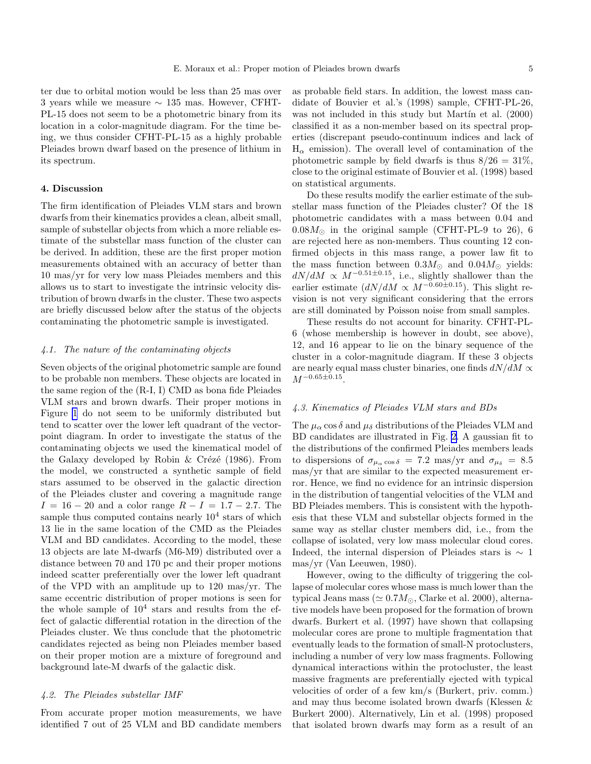ter due to orbital motion would be less than 25 mas over 3 years while we measure  $\sim$  135 mas. However, CFHT-PL-15 does not seem to be a photometric binary from its location in a color-magnitude diagram. For the time being, we thus consider CFHT-PL-15 as a highly probable Pleiades brown dwarf based on the presence of lithium in its spectrum.

## 4. Discussion

The firm identification of Pleiades VLM stars and brown dwarfs from their kinematics provides a clean, albeit small, sample of substellar objects from which a more reliable estimate of the substellar mass function of the cluster can be derived. In addition, these are the first proper motion measurements obtained with an accuracy of better than 10 mas/yr for very low mass Pleiades members and this allows us to start to investigate the intrinsic velocity distribution of brown dwarfs in the cluster. These two aspects are briefly discussed below after the status of the objects contaminating the photometric sample is investigated.

## 4.1. The nature of the contaminating objects

Seven objects of the original photometric sample are found to be probable non members. These objects are located in the same region of the (R-I, I) CMD as bona fide Pleiades VLM stars and brown dwarfs. Their proper motions in Figure [1](#page-2-0) do not seem to be uniformly distributed but tend to scatter over the lower left quadrant of the vectorpoint diagram. In order to investigate the status of the contaminating objects we used the kinematical model of the Galaxy developed by Robin & Crézé (1986). From the model, we constructed a synthetic sample of field stars assumed to be observed in the galactic direction of the Pleiades cluster and covering a magnitude range  $I = 16 - 20$  and a color range  $R - I = 1.7 - 2.7$ . The sample thus computed contains nearly  $10^4$  stars of which 13 lie in the same location of the CMD as the Pleiades VLM and BD candidates. According to the model, these 13 objects are late M-dwarfs (M6-M9) distributed over a distance between 70 and 170 pc and their proper motions indeed scatter preferentially over the lower left quadrant of the VPD with an amplitude up to 120 mas/yr. The same eccentric distribution of proper motions is seen for the whole sample of  $10^4$  stars and results from the effect of galactic differential rotation in the direction of the Pleiades cluster. We thus conclude that the photometric candidates rejected as being non Pleiades member based on their proper motion are a mixture of foreground and background late-M dwarfs of the galactic disk.

## 4.2. The Pleiades substellar IMF

From accurate proper motion measurements, we have identified 7 out of 25 VLM and BD candidate members

as probable field stars. In addition, the lowest mass candidate of Bouvier et al.'s (1998) sample, CFHT-PL-26, was not included in this study but Mart $(2000)$ classified it as a non-member based on its spectral properties (discrepant pseudo-continuum indices and lack of  $H_{\alpha}$  emission). The overall level of contamination of the photometric sample by field dwarfs is thus  $8/26 = 31\%$ , close to the original estimate of Bouvier et al. (1998) based on statistical arguments.

Do these results modify the earlier estimate of the substellar mass function of the Pleiades cluster? Of the 18 photometric candidates with a mass between 0.04 and  $0.08M_{\odot}$  in the original sample (CFHT-PL-9 to 26), 6 are rejected here as non-members. Thus counting 12 confirmed objects in this mass range, a power law fit to the mass function between  $0.3M_{\odot}$  and  $0.04M_{\odot}$  yields:  $dN/dM \propto M^{-0.51 \pm 0.15}$ , i.e., slightly shallower than the earlier estimate  $\left(\frac{dN}{dM}\propto M^{-0.60\pm0.15}\right)$ . This slight revision is not very significant considering that the errors are still dominated by Poisson noise from small samples.

These results do not account for binarity. CFHT-PL-6 (whose membership is however in doubt, see above), 12, and 16 appear to lie on the binary sequence of the cluster in a color-magnitude diagram. If these 3 objects are nearly equal mass cluster binaries, one finds  $dN/dM \propto$  $M^{-0.65 \pm 0.15}$ .

# 4.3. Kinematics of Pleiades VLM stars and BDs

The  $\mu_{\alpha}$  cos  $\delta$  and  $\mu_{\delta}$  distributions of the Pleiades VLM and BD candidates are illustrated in Fig. [2](#page-5-0). A gaussian fit to the distributions of the confirmed Pleiades members leads to dispersions of  $\sigma_{\mu_{\alpha} \cos \delta} = 7.2$  mas/yr and  $\sigma_{\mu_{\delta}} = 8.5$ mas/yr that are similar to the expected measurement error. Hence, we find no evidence for an intrinsic dispersion in the distribution of tangential velocities of the VLM and BD Pleiades members. This is consistent with the hypothesis that these VLM and substellar objects formed in the same way as stellar cluster members did, i.e., from the collapse of isolated, very low mass molecular cloud cores. Indeed, the internal dispersion of Pleiades stars is  $\sim 1$ mas/yr (Van Leeuwen, 1980).

However, owing to the difficulty of triggering the collapse of molecular cores whose mass is much lower than the typical Jeans mass ( $\simeq 0.7 M_{\odot}$ , Clarke et al. 2000), alternative models have been proposed for the formation of brown dwarfs. Burkert et al. (1997) have shown that collapsing molecular cores are prone to multiple fragmentation that eventually leads to the formation of small-N protoclusters, including a number of very low mass fragments. Following dynamical interactions within the protocluster, the least massive fragments are preferentially ejected with typical velocities of order of a few km/s (Burkert, priv. comm.) and may thus become isolated brown dwarfs (Klessen & Burkert 2000). Alternatively, Lin et al. (1998) proposed that isolated brown dwarfs may form as a result of an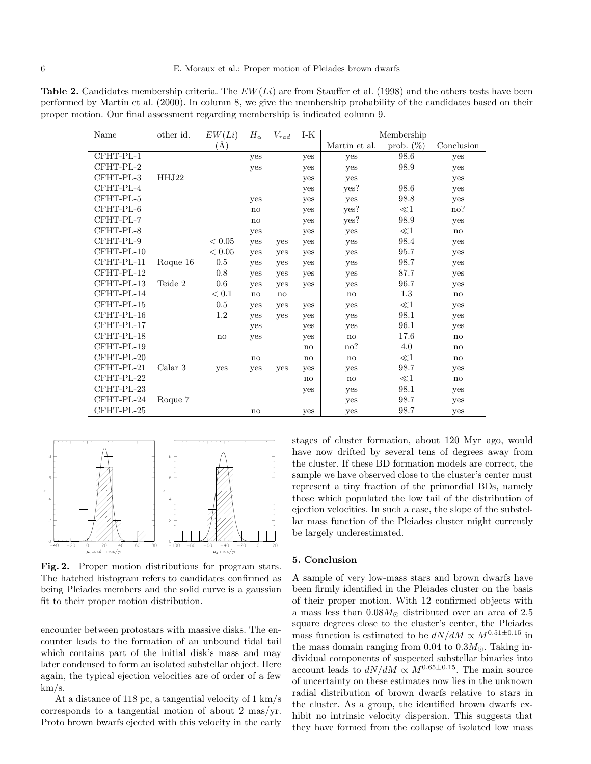<span id="page-5-0"></span>**Table 2.** Candidates membership criteria. The  $EW(Li)$  are from Stauffer et al. (1998) and the others tests have been performed by Martín et al. (2000). In column 8, we give the membership probability of the candidates based on their proper motion. Our final assessment regarding membership is indicated column 9.

| Name       | other id. | EW(Li)     | $H_{\alpha}$ | $V_{rad}$ | $I-K$ | Membership    |              |              |
|------------|-----------|------------|--------------|-----------|-------|---------------|--------------|--------------|
|            |           | $\rm(\AA)$ |              |           |       | Martin et al. | prob. $(\%)$ | Conclusion   |
| CFHT-PL-1  |           |            | yes          |           | yes   | yes           | 98.6         | yes          |
| CFHT-PL-2  |           |            | yes          |           | yes   | yes           | 98.9         | yes          |
| CFHT-PL-3  | HHJ22     |            |              |           | yes   | yes           |              | yes          |
| CFHT-PL-4  |           |            |              |           | yes   | yes?          | 98.6         | yes          |
| CFHT-PL-5  |           |            | yes          |           | yes   | yes           | 98.8         | yes          |
| CFHT-PL-6  |           |            | no           |           | yes   | yes?          | $\ll$ 1      | no?          |
| CFHT-PL-7  |           |            | no           |           | yes   | yes?          | 98.9         | yes          |
| CFHT-PL-8  |           |            | yes          |           | yes   | yes           | $\ll$ 1      | no           |
| CFHT-PL-9  |           | < 0.05     | yes          | yes       | yes   | yes           | 98.4         | yes          |
| CFHT-PL-10 |           | < 0.05     | yes          | yes       | yes   | yes           | 95.7         | yes          |
| CFHT-PL-11 | Roque 16  | $0.5\,$    | yes          | yes       | yes   | yes           | 98.7         | yes          |
| CFHT-PL-12 |           | 0.8        | yes          | yes       | yes   | yes           | 87.7         | yes          |
| CFHT-PL-13 | Teide 2   | 0.6        | yes          | yes       | yes   | yes           | 96.7         | yes          |
| CFHT-PL-14 |           | < 0.1      | no           | no        |       | no            | $1.3\,$      | no           |
| CFHT-PL-15 |           | 0.5        | yes          | yes       | yes   | yes           | $\ll$ 1      | yes          |
| CFHT-PL-16 |           | 1.2        | yes          | yes       | yes   | yes           | 98.1         | yes          |
| CFHT-PL-17 |           |            | yes          |           | yes   | yes           | 96.1         | yes          |
| CFHT-PL-18 |           | $\rm{no}$  | yes          |           | yes   | no            | 17.6         | no           |
| CFHT-PL-19 |           |            |              |           | no    | no?           | 4.0          | $\mathbf{n}$ |
| CFHT-PL-20 |           |            | no           |           | no    | no            | $\ll$ 1      | no           |
| CFHT-PL-21 | Calar 3   | yes        | yes          | yes       | yes   | yes           | 98.7         | yes          |
| CFHT-PL-22 |           |            |              |           | no    | no            | $\ll$ 1      | no           |
| CFHT-PL-23 |           |            |              |           | yes   | yes           | 98.1         | yes          |
| CFHT-PL-24 | Roque 7   |            |              |           |       | yes           | 98.7         | yes          |
| CFHT-PL-25 |           |            | no           |           | yes   | yes           | 98.7         | yes          |



Fig. 2. Proper motion distributions for program stars. The hatched histogram refers to candidates confirmed as being Pleiades members and the solid curve is a gaussian fit to their proper motion distribution.

encounter between protostars with massive disks. The encounter leads to the formation of an unbound tidal tail which contains part of the initial disk's mass and may later condensed to form an isolated substellar object. Here again, the typical ejection velocities are of order of a few km/s.

At a distance of 118 pc, a tangential velocity of 1 km/s corresponds to a tangential motion of about 2 mas/yr. Proto brown bwarfs ejected with this velocity in the early stages of cluster formation, about 120 Myr ago, would have now drifted by several tens of degrees away from the cluster. If these BD formation models are correct, the sample we have observed close to the cluster's center must represent a tiny fraction of the primordial BDs, namely those which populated the low tail of the distribution of ejection velocities. In such a case, the slope of the substellar mass function of the Pleiades cluster might currently be largely underestimated.

#### 5. Conclusion

A sample of very low-mass stars and brown dwarfs have been firmly identified in the Pleiades cluster on the basis of their proper motion. With 12 confirmed objects with a mass less than  $0.08M_{\odot}$  distributed over an area of 2.5 square degrees close to the cluster's center, the Pleiades mass function is estimated to be  $dN/dM \propto M^{0.51\pm0.15}$  in the mass domain ranging from 0.04 to 0.3 $M_{\odot}$ . Taking individual components of suspected substellar binaries into account leads to  $dN/dM \propto M^{0.65\pm0.15}$ . The main source of uncertainty on these estimates now lies in the unknown radial distribution of brown dwarfs relative to stars in the cluster. As a group, the identified brown dwarfs exhibit no intrinsic velocity dispersion. This suggests that they have formed from the collapse of isolated low mass